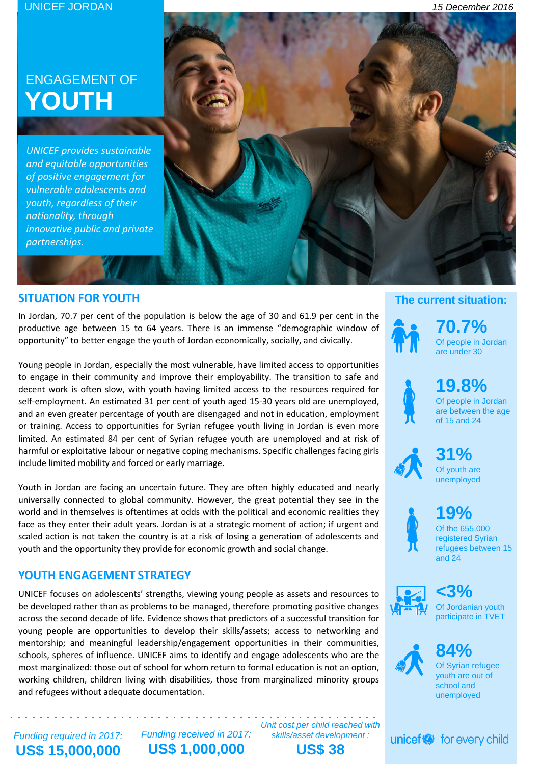# ENGAGEMENT OF **YOUTH**

*UNICEF provides sustainable and equitable opportunities of positive engagement for vulnerable adolescents and youth, regardless of their nationality, through innovative public and private partnerships.*

### **SITUATION FOR YOUTH**

In Jordan, 70.7 per cent of the population is below the age of 30 and 61.9 per cent in the productive age between 15 to 64 years. There is an immense "demographic window of opportunity" to better engage the youth of Jordan economically, socially, and civically.

Young people in Jordan, especially the most vulnerable, have limited access to opportunities to engage in their community and improve their employability. The transition to safe and decent work is often slow, with youth having limited access to the resources required for self-employment. An estimated 31 per cent of youth aged 15-30 years old are unemployed, and an even greater percentage of youth are disengaged and not in education, employment or training. Access to opportunities for Syrian refugee youth living in Jordan is even more limited. An estimated 84 per cent of Syrian refugee youth are unemployed and at risk of harmful or exploitative labour or negative coping mechanisms. Specific challenges facing girls include limited mobility and forced or early marriage.

Youth in Jordan are facing an uncertain future. They are often highly educated and nearly universally connected to global community. However, the great potential they see in the world and in themselves is oftentimes at odds with the political and economic realities they face as they enter their adult years. Jordan is at a strategic moment of action; if urgent and scaled action is not taken the country is at a risk of losing a generation of adolescents and youth and the opportunity they provide for economic growth and social change.

## **YOUTH ENGAGEMENT STRATEGY**

UNICEF focuses on adolescents' strengths, viewing young people as assets and resources to be developed rather than as problems to be managed, therefore promoting positive changes across the second decade of life. Evidence shows that predictors of a successful transition for young people are opportunities to develop their skills/assets; access to networking and mentorship; and meaningful leadership/engagement opportunities in their communities, schools, spheres of influence. UNICEF aims to identify and engage adolescents who are the most marginalized: those out of school for whom return to formal education is not an option, working children, children living with disabilities, those from marginalized minority groups and refugees without adequate documentation.

**The current situation:**

**70.7%** Of people in Jordan are under 30



Of people in Jordan are between the age of 15 and 24



**31%** Of youth are unemployed

**19%**

Of the 655,000 registered Syrian refugees between 15 and 24



**<3%** Of Jordanian youth participate in TVET



**84%** Of Syrian refugee youth are out of school and unemployed

 $unicef \otimes$  for every child

*Funding required in 2017:* **US\$ 15,000,000** 

*Funding received in 2017:* **US\$ 1,000,000**

*Unit cost per child reached with skills/asset development :* **US\$ 38**